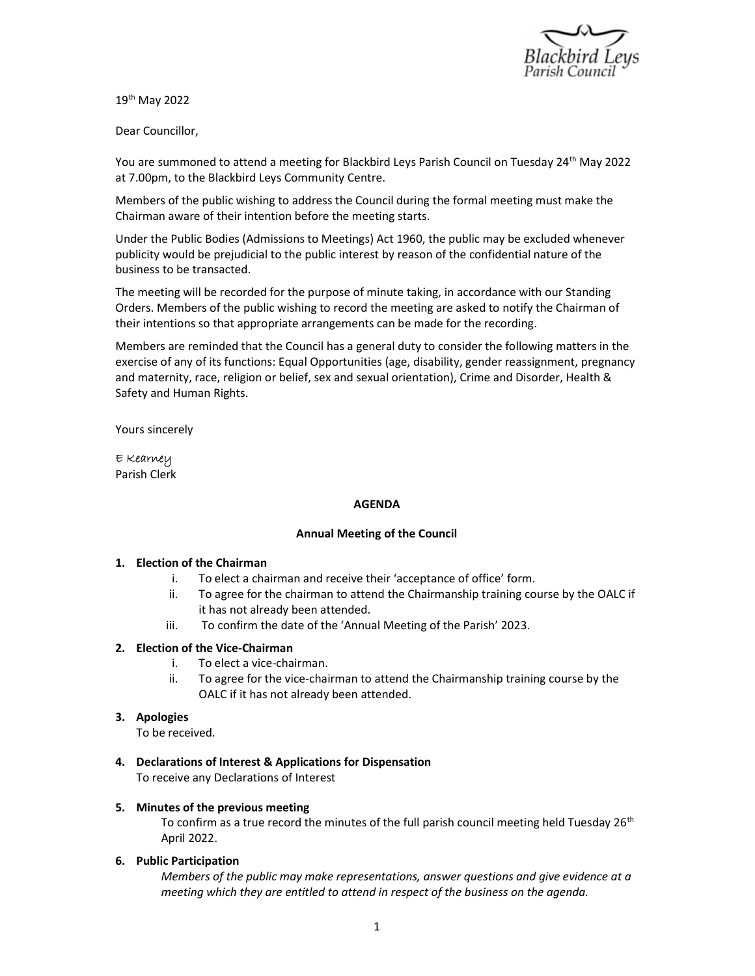

19th May 2022

Dear Councillor,

You are summoned to attend a meeting for Blackbird Leys Parish Council on Tuesday 24<sup>th</sup> May 2022 at 7.00pm, to the Blackbird Leys Community Centre.

Members of the public wishing to address the Council during the formal meeting must make the Chairman aware of their intention before the meeting starts.

Under the Public Bodies (Admissions to Meetings) Act 1960, the public may be excluded whenever publicity would be prejudicial to the public interest by reason of the confidential nature of the business to be transacted.

The meeting will be recorded for the purpose of minute taking, in accordance with our Standing Orders. Members of the public wishing to record the meeting are asked to notify the Chairman of their intentions so that appropriate arrangements can be made for the recording.

Members are reminded that the Council has a general duty to consider the following matters in the exercise of any of its functions: Equal Opportunities (age, disability, gender reassignment, pregnancy and maternity, race, religion or belief, sex and sexual orientation), Crime and Disorder, Health & Safety and Human Rights.

Yours sincerely

E Kearney Parish Clerk

#### AGENDA

#### Annual Meeting of the Council

#### 1. Election of the Chairman

- i. To elect a chairman and receive their 'acceptance of office' form.
- ii. To agree for the chairman to attend the Chairmanship training course by the OALC if it has not already been attended.
- iii. To confirm the date of the 'Annual Meeting of the Parish' 2023.

#### 2. Election of the Vice-Chairman

- i. To elect a vice-chairman.
- ii. To agree for the vice-chairman to attend the Chairmanship training course by the OALC if it has not already been attended.

#### 3. Apologies

To be received.

4. Declarations of Interest & Applications for Dispensation To receive any Declarations of Interest

#### 5. Minutes of the previous meeting

To confirm as a true record the minutes of the full parish council meeting held Tuesday 26<sup>th</sup> April 2022.

6. Public Participation

Members of the public may make representations, answer questions and give evidence at a meeting which they are entitled to attend in respect of the business on the agenda.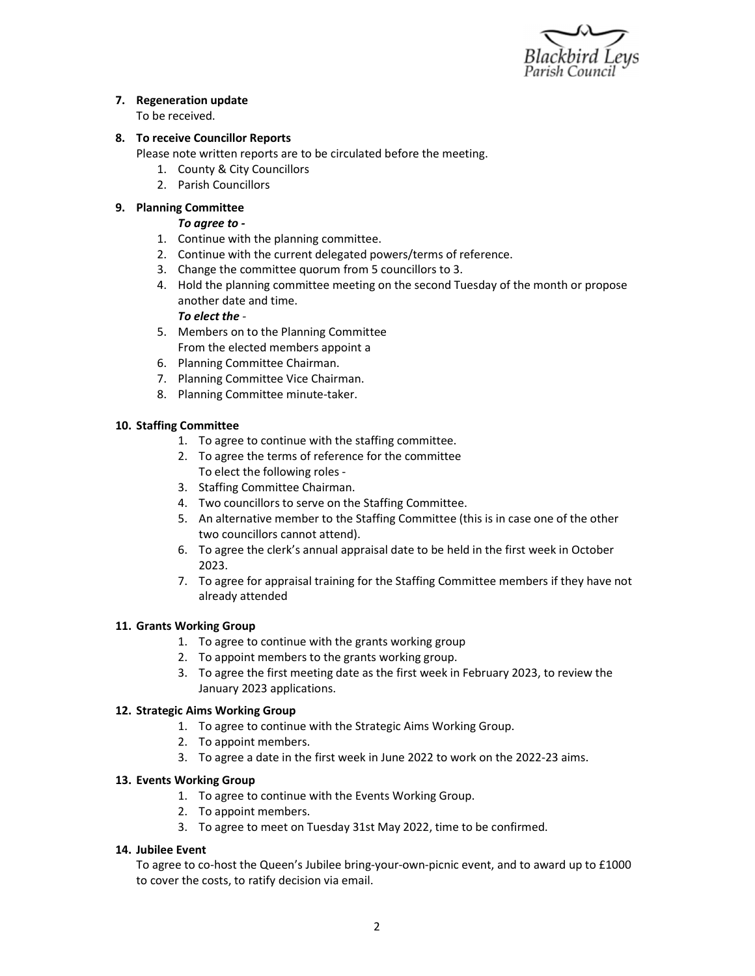

## 7. Regeneration update

To be received.

### 8. To receive Councillor Reports

Please note written reports are to be circulated before the meeting.

- 1. County & City Councillors
- 2. Parish Councillors

### 9. Planning Committee

#### To agree to -

- 1. Continue with the planning committee.
- 2. Continue with the current delegated powers/terms of reference.
- 3. Change the committee quorum from 5 councillors to 3.
- 4. Hold the planning committee meeting on the second Tuesday of the month or propose another date and time.

#### To elect the -

- 5. Members on to the Planning Committee From the elected members appoint a
- 6. Planning Committee Chairman.
- 7. Planning Committee Vice Chairman.
- 8. Planning Committee minute-taker.

### 10. Staffing Committee

- 1. To agree to continue with the staffing committee.
- 2. To agree the terms of reference for the committee To elect the following roles -
- 3. Staffing Committee Chairman.
- 4. Two councillors to serve on the Staffing Committee.
- 5. An alternative member to the Staffing Committee (this is in case one of the other two councillors cannot attend).
- 6. To agree the clerk's annual appraisal date to be held in the first week in October 2023.
- 7. To agree for appraisal training for the Staffing Committee members if they have not already attended

#### 11. Grants Working Group

- 1. To agree to continue with the grants working group
- 2. To appoint members to the grants working group.
- 3. To agree the first meeting date as the first week in February 2023, to review the January 2023 applications.

#### 12. Strategic Aims Working Group

- 1. To agree to continue with the Strategic Aims Working Group.
- 2. To appoint members.
- 3. To agree a date in the first week in June 2022 to work on the 2022-23 aims.

#### 13. Events Working Group

- 1. To agree to continue with the Events Working Group.
- 2. To appoint members.
- 3. To agree to meet on Tuesday 31st May 2022, time to be confirmed.

#### 14. Jubilee Event

To agree to co-host the Queen's Jubilee bring-your-own-picnic event, and to award up to £1000 to cover the costs, to ratify decision via email.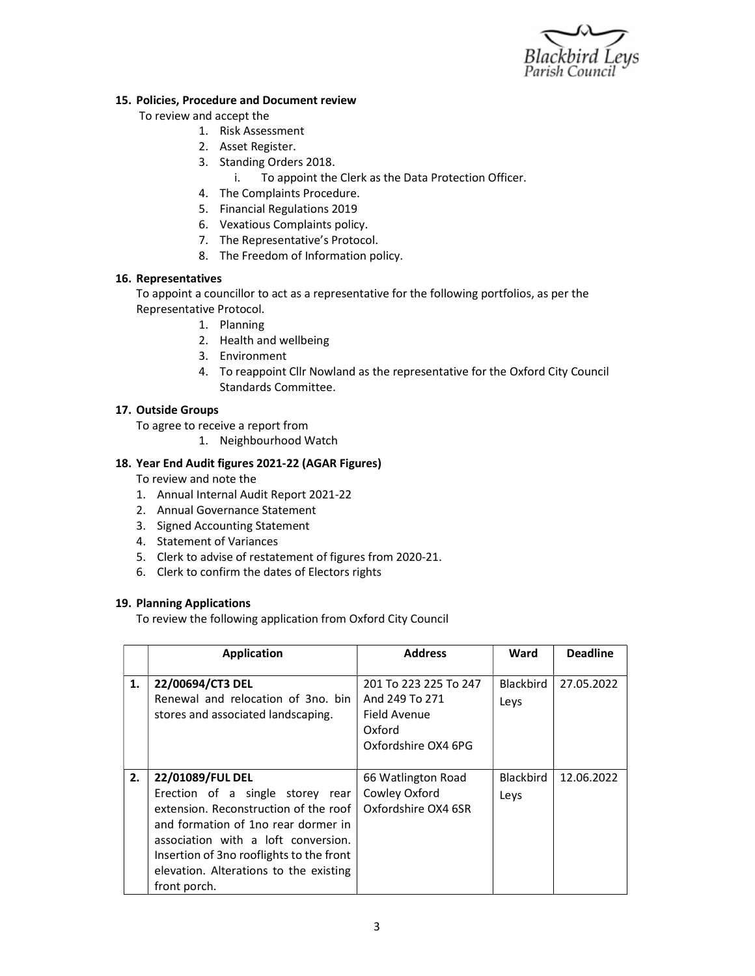

#### 15. Policies, Procedure and Document review

- To review and accept the
	- 1. Risk Assessment
	- 2. Asset Register.
	- 3. Standing Orders 2018.
		- i. To appoint the Clerk as the Data Protection Officer.
	- 4. The Complaints Procedure.
	- 5. Financial Regulations 2019
	- 6. Vexatious Complaints policy.
	- 7. The Representative's Protocol.
	- 8. The Freedom of Information policy.

## 16. Representatives

To appoint a councillor to act as a representative for the following portfolios, as per the Representative Protocol.

- 1. Planning
- 2. Health and wellbeing
- 3. Environment
- 4. To reappoint Cllr Nowland as the representative for the Oxford City Council Standards Committee.

# 17. Outside Groups

To agree to receive a report from

1. Neighbourhood Watch

# 18. Year End Audit figures 2021-22 (AGAR Figures)

To review and note the

- 1. Annual Internal Audit Report 2021-22
- 2. Annual Governance Statement
- 3. Signed Accounting Statement
- 4. Statement of Variances
- 5. Clerk to advise of restatement of figures from 2020-21.
- 6. Clerk to confirm the dates of Electors rights

## 19. Planning Applications

To review the following application from Oxford City Council

|    | Application                                                                                                                                                                                                                                                                       | <b>Address</b>                                                                           | Ward                     | <b>Deadline</b> |
|----|-----------------------------------------------------------------------------------------------------------------------------------------------------------------------------------------------------------------------------------------------------------------------------------|------------------------------------------------------------------------------------------|--------------------------|-----------------|
| 1. | 22/00694/CT3 DEL<br>Renewal and relocation of 3no. bin<br>stores and associated landscaping.                                                                                                                                                                                      | 201 To 223 225 To 247<br>And 249 To 271<br>Field Avenue<br>Oxford<br>Oxfordshire OX4 6PG | <b>Blackbird</b><br>Leys | 27.05.2022      |
| 2. | 22/01089/FUL DEL<br>Erection of a single storey rear<br>extension. Reconstruction of the roof<br>and formation of 1no rear dormer in<br>association with a loft conversion.<br>Insertion of 3no rooflights to the front<br>elevation. Alterations to the existing<br>front porch. | 66 Watlington Road<br>Cowley Oxford<br>Oxfordshire OX4 6SR                               | Blackbird<br>Leys        | 12.06.2022      |